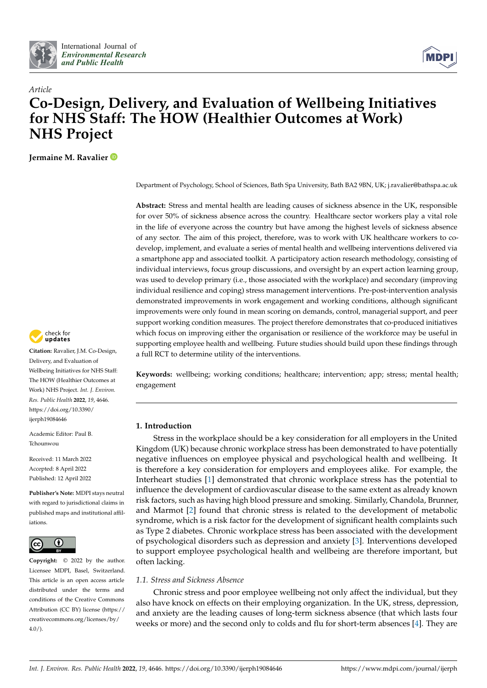



# *Article* **Co-Design, Delivery, and Evaluation of Wellbeing Initiatives for NHS Staff: The HOW (Healthier Outcomes at Work) NHS Project**

**Jermaine M. Ravalier**

Department of Psychology, School of Sciences, Bath Spa University, Bath BA2 9BN, UK; j.ravalier@bathspa.ac.uk

**Abstract:** Stress and mental health are leading causes of sickness absence in the UK, responsible for over 50% of sickness absence across the country. Healthcare sector workers play a vital role in the life of everyone across the country but have among the highest levels of sickness absence of any sector. The aim of this project, therefore, was to work with UK healthcare workers to codevelop, implement, and evaluate a series of mental health and wellbeing interventions delivered via a smartphone app and associated toolkit. A participatory action research methodology, consisting of individual interviews, focus group discussions, and oversight by an expert action learning group, was used to develop primary (i.e., those associated with the workplace) and secondary (improving individual resilience and coping) stress management interventions. Pre-post-intervention analysis demonstrated improvements in work engagement and working conditions, although significant improvements were only found in mean scoring on demands, control, managerial support, and peer support working condition measures. The project therefore demonstrates that co-produced initiatives which focus on improving either the organisation or resilience of the workforce may be useful in supporting employee health and wellbeing. Future studies should build upon these findings through a full RCT to determine utility of the interventions.

Keywords: wellbeing; working conditions; healthcare; intervention; app; stress; mental health; engagement

# **1. Introduction**

Stress in the workplace should be a key consideration for all employers in the United Kingdom (UK) because chronic workplace stress has been demonstrated to have potentially negative influences on employee physical and psychological health and wellbeing. It is therefore a key consideration for employers and employees alike. For example, the Interheart studies [\[1\]](#page-12-0) demonstrated that chronic workplace stress has the potential to influence the development of cardiovascular disease to the same extent as already known risk factors, such as having high blood pressure and smoking. Similarly, Chandola, Brunner, and Marmot [\[2\]](#page-12-1) found that chronic stress is related to the development of metabolic syndrome, which is a risk factor for the development of significant health complaints such as Type 2 diabetes. Chronic workplace stress has been associated with the development of psychological disorders such as depression and anxiety [\[3\]](#page-13-0). Interventions developed to support employee psychological health and wellbeing are therefore important, but often lacking.

# *1.1. Stress and Sickness Absence*

Chronic stress and poor employee wellbeing not only affect the individual, but they also have knock on effects on their employing organization. In the UK, stress, depression, and anxiety are the leading causes of long-term sickness absence (that which lasts four weeks or more) and the second only to colds and flu for short-term absences [\[4\]](#page-13-1). They are



**Citation:** Ravalier, J.M. Co-Design, Delivery, and Evaluation of Wellbeing Initiatives for NHS Staff: The HOW (Healthier Outcomes at Work) NHS Project. *Int. J. Environ. Res. Public Health* **2022**, *19*, 4646. [https://doi.org/10.3390/](https://doi.org/10.3390/ijerph19084646) [ijerph19084646](https://doi.org/10.3390/ijerph19084646)

Academic Editor: Paul B. Tchounwou

Received: 11 March 2022 Accepted: 8 April 2022 Published: 12 April 2022

**Publisher's Note:** MDPI stays neutral with regard to jurisdictional claims in published maps and institutional affiliations.



**Copyright:** © 2022 by the author. Licensee MDPI, Basel, Switzerland. This article is an open access article distributed under the terms and conditions of the Creative Commons Attribution (CC BY) license [\(https://](https://creativecommons.org/licenses/by/4.0/) [creativecommons.org/licenses/by/](https://creativecommons.org/licenses/by/4.0/)  $4.0/$ ).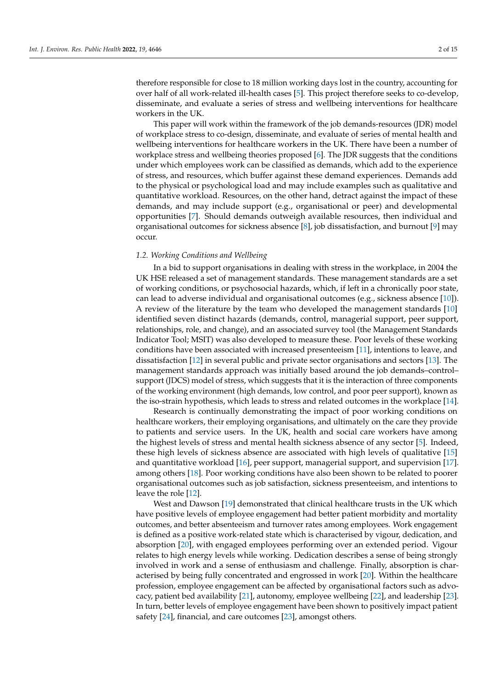therefore responsible for close to 18 million working days lost in the country, accounting for over half of all work-related ill-health cases [\[5\]](#page-13-2). This project therefore seeks to co-develop, disseminate, and evaluate a series of stress and wellbeing interventions for healthcare workers in the UK.

This paper will work within the framework of the job demands-resources (JDR) model of workplace stress to co-design, disseminate, and evaluate of series of mental health and wellbeing interventions for healthcare workers in the UK. There have been a number of workplace stress and wellbeing theories proposed [\[6\]](#page-13-3). The JDR suggests that the conditions under which employees work can be classified as demands, which add to the experience of stress, and resources, which buffer against these demand experiences. Demands add to the physical or psychological load and may include examples such as qualitative and quantitative workload. Resources, on the other hand, detract against the impact of these demands, and may include support (e.g., organisational or peer) and developmental opportunities [\[7\]](#page-13-4). Should demands outweigh available resources, then individual and organisational outcomes for sickness absence [\[8\]](#page-13-5), job dissatisfaction, and burnout [\[9\]](#page-13-6) may occur.

#### *1.2. Working Conditions and Wellbeing*

In a bid to support organisations in dealing with stress in the workplace, in 2004 the UK HSE released a set of management standards. These management standards are a set of working conditions, or psychosocial hazards, which, if left in a chronically poor state, can lead to adverse individual and organisational outcomes (e.g., sickness absence [\[10\]](#page-13-7)). A review of the literature by the team who developed the management standards [\[10\]](#page-13-7) identified seven distinct hazards (demands, control, managerial support, peer support, relationships, role, and change), and an associated survey tool (the Management Standards Indicator Tool; MSIT) was also developed to measure these. Poor levels of these working conditions have been associated with increased presenteeism [\[11\]](#page-13-8), intentions to leave, and dissatisfaction [\[12\]](#page-13-9) in several public and private sector organisations and sectors [\[13\]](#page-13-10). The management standards approach was initially based around the job demands–control– support (JDCS) model of stress, which suggests that it is the interaction of three components of the working environment (high demands, low control, and poor peer support), known as the iso-strain hypothesis, which leads to stress and related outcomes in the workplace [\[14\]](#page-13-11).

Research is continually demonstrating the impact of poor working conditions on healthcare workers, their employing organisations, and ultimately on the care they provide to patients and service users. In the UK, health and social care workers have among the highest levels of stress and mental health sickness absence of any sector [\[5\]](#page-13-2). Indeed, these high levels of sickness absence are associated with high levels of qualitative [\[15\]](#page-13-12) and quantitative workload [\[16\]](#page-13-13), peer support, managerial support, and supervision [\[17\]](#page-13-14). among others [\[18\]](#page-13-15). Poor working conditions have also been shown to be related to poorer organisational outcomes such as job satisfaction, sickness presenteeism, and intentions to leave the role [\[12\]](#page-13-9).

West and Dawson [\[19\]](#page-13-16) demonstrated that clinical healthcare trusts in the UK which have positive levels of employee engagement had better patient morbidity and mortality outcomes, and better absenteeism and turnover rates among employees. Work engagement is defined as a positive work-related state which is characterised by vigour, dedication, and absorption [\[20\]](#page-13-17), with engaged employees performing over an extended period. Vigour relates to high energy levels while working. Dedication describes a sense of being strongly involved in work and a sense of enthusiasm and challenge. Finally, absorption is characterised by being fully concentrated and engrossed in work [\[20\]](#page-13-17). Within the healthcare profession, employee engagement can be affected by organisational factors such as advocacy, patient bed availability [\[21\]](#page-13-18), autonomy, employee wellbeing [\[22\]](#page-13-19), and leadership [\[23\]](#page-13-20). In turn, better levels of employee engagement have been shown to positively impact patient safety [\[24\]](#page-13-21), financial, and care outcomes [\[23\]](#page-13-20), amongst others.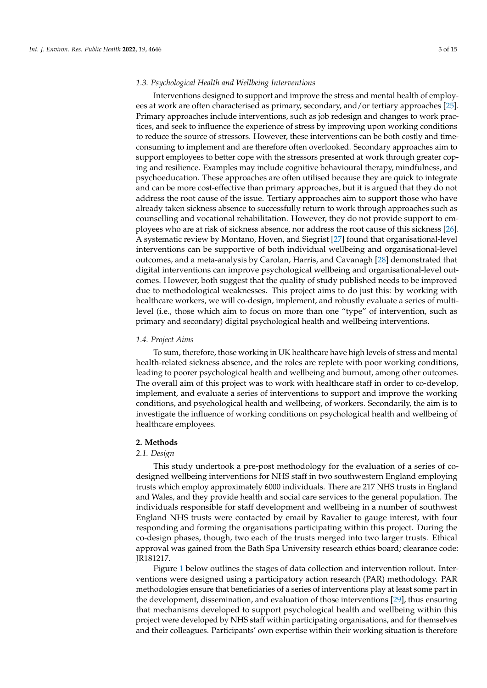#### *1.3. Psychological Health and Wellbeing Interventions*

Interventions designed to support and improve the stress and mental health of employees at work are often characterised as primary, secondary, and/or tertiary approaches [\[25\]](#page-13-22). Primary approaches include interventions, such as job redesign and changes to work practices, and seek to influence the experience of stress by improving upon working conditions to reduce the source of stressors. However, these interventions can be both costly and timeconsuming to implement and are therefore often overlooked. Secondary approaches aim to support employees to better cope with the stressors presented at work through greater coping and resilience. Examples may include cognitive behavioural therapy, mindfulness, and psychoeducation. These approaches are often utilised because they are quick to integrate and can be more cost-effective than primary approaches, but it is argued that they do not address the root cause of the issue. Tertiary approaches aim to support those who have already taken sickness absence to successfully return to work through approaches such as counselling and vocational rehabilitation. However, they do not provide support to employees who are at risk of sickness absence, nor address the root cause of this sickness [\[26\]](#page-13-23). A systematic review by Montano, Hoven, and Siegrist [\[27\]](#page-13-24) found that organisational-level interventions can be supportive of both individual wellbeing and organisational-level outcomes, and a meta-analysis by Carolan, Harris, and Cavanagh [\[28\]](#page-13-25) demonstrated that digital interventions can improve psychological wellbeing and organisational-level outcomes. However, both suggest that the quality of study published needs to be improved due to methodological weaknesses. This project aims to do just this: by working with healthcare workers, we will co-design, implement, and robustly evaluate a series of multilevel (i.e., those which aim to focus on more than one "type" of intervention, such as primary and secondary) digital psychological health and wellbeing interventions.

#### *1.4. Project Aims*

To sum, therefore, those working in UK healthcare have high levels of stress and mental health-related sickness absence, and the roles are replete with poor working conditions, leading to poorer psychological health and wellbeing and burnout, among other outcomes. The overall aim of this project was to work with healthcare staff in order to co-develop, implement, and evaluate a series of interventions to support and improve the working conditions, and psychological health and wellbeing, of workers. Secondarily, the aim is to investigate the influence of working conditions on psychological health and wellbeing of healthcare employees.

#### **2. Methods**

#### *2.1. Design*

This study undertook a pre-post methodology for the evaluation of a series of codesigned wellbeing interventions for NHS staff in two southwestern England employing trusts which employ approximately 6000 individuals. There are 217 NHS trusts in England and Wales, and they provide health and social care services to the general population. The individuals responsible for staff development and wellbeing in a number of southwest England NHS trusts were contacted by email by Ravalier to gauge interest, with four responding and forming the organisations participating within this project. During the co-design phases, though, two each of the trusts merged into two larger trusts. Ethical approval was gained from the Bath Spa University research ethics board; clearance code: JR181217.

Figure [1](#page-3-0) below outlines the stages of data collection and intervention rollout. Interventions were designed using a participatory action research (PAR) methodology. PAR methodologies ensure that beneficiaries of a series of interventions play at least some part in the development, dissemination, and evaluation of those interventions [\[29\]](#page-13-26), thus ensuring that mechanisms developed to support psychological health and wellbeing within this project were developed by NHS staff within participating organisations, and for themselves and their colleagues. Participants' own expertise within their working situation is therefore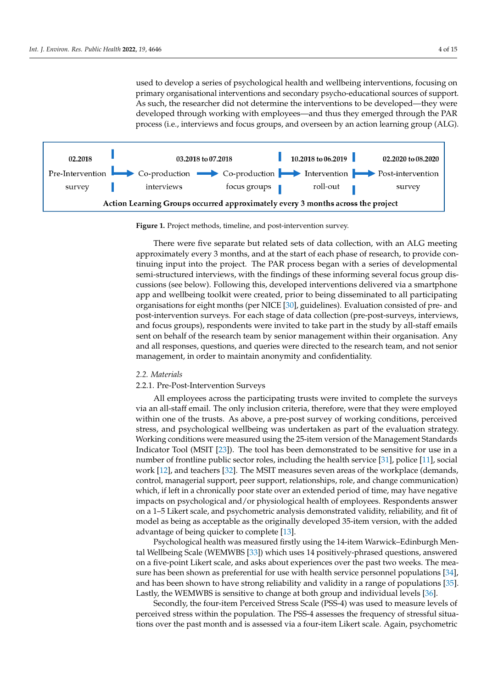<span id="page-3-0"></span>used to develop a series of psychological health and wellbeing interventions, focusing on primary organisational interventions and secondary psycho-educational sources of support. As such, the researcher did not determine the interventions to be developed—they were developed through working with employees—and thus they emerged through the PAR process (i.e., interviews and focus groups, and overseen by an action learning group (ALG).



**Figure 1.** Project methods, timeline, and post-intervention survey. **Figure 1.** Project methods, timeline, and post-intervention survey.

There were five separate but related sets of data collection, with an ALG meeting There were five separate but related sets of data collection, with an ALG meeting approximately every 3 months, and at the start of each phase of research, to provide con-approximately every 3 months, and at the start of each phase of research, to provide continuing input into the project. The PAR process began with a series of developmental tinuing input into the project. The PAR process began with a series of developmental semi-structured interviews, with the findings of these informing several focus group dis-semi-structured interviews, with the findings of these informing several focus group discussions (see below). Following this, developed interventions delivered via a smartphone cussions (see below). Following this, developed interventions delivered via a smartphone app and wellbeing toolkit were created, prior to being disseminated to all participating app and wellbeing toolkit were created, prior to being disseminated to all participating organisations for eight months (per NICE [30], guidelines). Evaluation consisted of pre-post-intervention surveys. For each stage of data collection (pre-post-surveys, interviews, and focus groups), respondents were invited to take part in the study by all-staff emails sent on behalf of the research team by senior management within their organisation. Any and all responses, questions, and queries were directed to the research team, and not senior management, in order to maintain anonymity and confidentiality. organisations for eight months (per NICE [\[30\]](#page-13-27), guidelines). Evaluation consisted of pre- and

#### *2.2. Materials*

#### *2.2. Materials*  2.2.1. Pre-Post-Intervention Surveys

All employees across the participating trusts were invited to complete the surveys via an all-staff email. The only inclusion criteria, therefore, were that they were employed<br> within one of the trusts. As above, a pre-post survey of working conditions, perceived within one of the trusts. stress, and psychological wellbeing was undertaken as part of the evaluation strategy.<br>Werking conditions were measured wing the 25 item version of the Management Standards. Indicator Tool (MSIT [\[23\]](#page-13-20)). The tool has been demonstrated to be sensitive for use in a number of frontline public sector roles, including the health service [\[31\]](#page-14-0), police [\[11\]](#page-13-8), social work [\[12\]](#page-13-9), and teachers [\[32\]](#page-14-1). The MSIT measures seven areas of the workplace (demands, control, managerial support, peer support, relationships, role, and change communication) which, if left in a chronically poor state over an extended period of time, may have negative impacts on psychological and/or physiological health of employees. Respondents answer on a 1–5 Likert scale, and psychometric analysis demonstrated validity, reliability, and fit of model as being as acceptable as the originally developed 35-item version, with the added Working conditions were measured using the 25-item version of the Management Standards advantage of being quicker to complete [\[13\]](#page-13-10).

Psychological health was measured firstly using the 14-item Warwick–Edinburgh Mental Wellbeing Scale (WEMWBS [\[33\]](#page-14-2)) which uses 14 positively-phrased questions, answered on a five-point Likert scale, and asks about experiences over the past two weeks. The measure has been shown as preferential for use with health service personnel populations [\[34\]](#page-14-3), and has been shown to have strong reliability and validity in a range of populations [\[35\]](#page-14-4). Lastly, the WEMWBS is sensitive to change at both group and individual levels [\[36\]](#page-14-5).

Secondly, the four-item Perceived Stress Scale (PSS-4) was used to measure levels of perceived stress within the population. The PSS-4 assesses the frequency of stressful situations over the past month and is assessed via a four-item Likert scale. Again, psychometric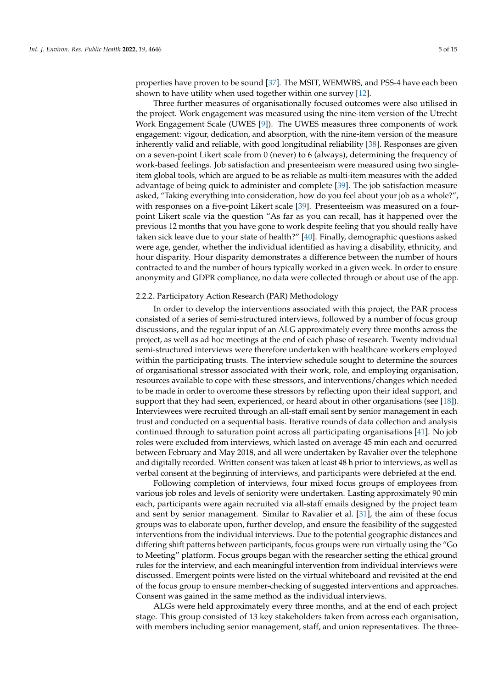properties have proven to be sound [\[37\]](#page-14-6). The MSIT, WEMWBS, and PSS-4 have each been shown to have utility when used together within one survey [\[12\]](#page-13-9).

Three further measures of organisationally focused outcomes were also utilised in the project. Work engagement was measured using the nine-item version of the Utrecht Work Engagement Scale (UWES [\[9\]](#page-13-6)). The UWES measures three components of work engagement: vigour, dedication, and absorption, with the nine-item version of the measure inherently valid and reliable, with good longitudinal reliability [\[38\]](#page-14-7). Responses are given on a seven-point Likert scale from 0 (never) to 6 (always), determining the frequency of work-based feelings. Job satisfaction and presenteeism were measured using two singleitem global tools, which are argued to be as reliable as multi-item measures with the added advantage of being quick to administer and complete [\[39\]](#page-14-8). The job satisfaction measure asked, "Taking everything into consideration, how do you feel about your job as a whole?", with responses on a five-point Likert scale [\[39\]](#page-14-8). Presenteeism was measured on a fourpoint Likert scale via the question "As far as you can recall, has it happened over the previous 12 months that you have gone to work despite feeling that you should really have taken sick leave due to your state of health?" [\[40\]](#page-14-9). Finally, demographic questions asked were age, gender, whether the individual identified as having a disability, ethnicity, and hour disparity. Hour disparity demonstrates a difference between the number of hours contracted to and the number of hours typically worked in a given week. In order to ensure anonymity and GDPR compliance, no data were collected through or about use of the app.

#### 2.2.2. Participatory Action Research (PAR) Methodology

In order to develop the interventions associated with this project, the PAR process consisted of a series of semi-structured interviews, followed by a number of focus group discussions, and the regular input of an ALG approximately every three months across the project, as well as ad hoc meetings at the end of each phase of research. Twenty individual semi-structured interviews were therefore undertaken with healthcare workers employed within the participating trusts. The interview schedule sought to determine the sources of organisational stressor associated with their work, role, and employing organisation, resources available to cope with these stressors, and interventions/changes which needed to be made in order to overcome these stressors by reflecting upon their ideal support, and support that they had seen, experienced, or heard about in other organisations (see [\[18\]](#page-13-15)). Interviewees were recruited through an all-staff email sent by senior management in each trust and conducted on a sequential basis. Iterative rounds of data collection and analysis continued through to saturation point across all participating organisations [\[41\]](#page-14-10). No job roles were excluded from interviews, which lasted on average 45 min each and occurred between February and May 2018, and all were undertaken by Ravalier over the telephone and digitally recorded. Written consent was taken at least 48 h prior to interviews, as well as verbal consent at the beginning of interviews, and participants were debriefed at the end.

Following completion of interviews, four mixed focus groups of employees from various job roles and levels of seniority were undertaken. Lasting approximately 90 min each, participants were again recruited via all-staff emails designed by the project team and sent by senior management. Similar to Ravalier et al. [\[31\]](#page-14-0), the aim of these focus groups was to elaborate upon, further develop, and ensure the feasibility of the suggested interventions from the individual interviews. Due to the potential geographic distances and differing shift patterns between participants, focus groups were run virtually using the "Go to Meeting" platform. Focus groups began with the researcher setting the ethical ground rules for the interview, and each meaningful intervention from individual interviews were discussed. Emergent points were listed on the virtual whiteboard and revisited at the end of the focus group to ensure member-checking of suggested interventions and approaches. Consent was gained in the same method as the individual interviews.

ALGs were held approximately every three months, and at the end of each project stage. This group consisted of 13 key stakeholders taken from across each organisation, with members including senior management, staff, and union representatives. The three-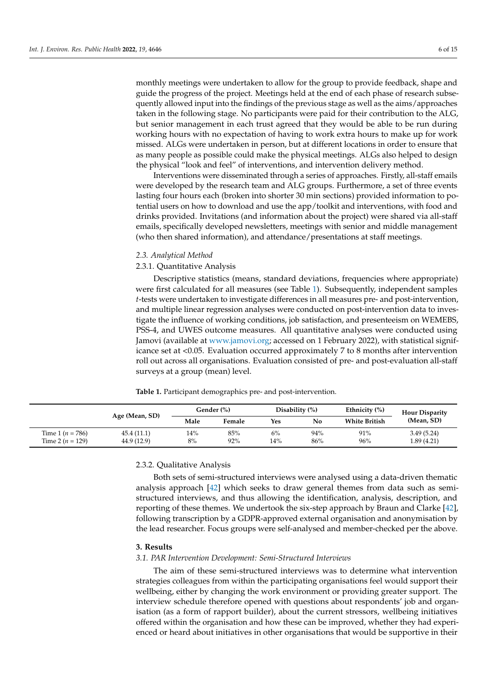monthly meetings were undertaken to allow for the group to provide feedback, shape and guide the progress of the project. Meetings held at the end of each phase of research subsequently allowed input into the findings of the previous stage as well as the aims/approaches taken in the following stage. No participants were paid for their contribution to the ALG, but senior management in each trust agreed that they would be able to be run during working hours with no expectation of having to work extra hours to make up for work missed. ALGs were undertaken in person, but at different locations in order to ensure that as many people as possible could make the physical meetings. ALGs also helped to design the physical "look and feel" of interventions, and intervention delivery method.

Interventions were disseminated through a series of approaches. Firstly, all-staff emails were developed by the research team and ALG groups. Furthermore, a set of three events lasting four hours each (broken into shorter 30 min sections) provided information to potential users on how to download and use the app/toolkit and interventions, with food and drinks provided. Invitations (and information about the project) were shared via all-staff emails, specifically developed newsletters, meetings with senior and middle management (who then shared information), and attendance/presentations at staff meetings.

#### *2.3. Analytical Method*

## 2.3.1. Quantitative Analysis

Descriptive statistics (means, standard deviations, frequencies where appropriate) were first calculated for all measures (see Table [1\)](#page-5-0). Subsequently, independent samples *t*-tests were undertaken to investigate differences in all measures pre- and post-intervention, and multiple linear regression analyses were conducted on post-intervention data to investigate the influence of working conditions, job satisfaction, and presenteeism on WEMEBS, PSS-4, and UWES outcome measures. All quantitative analyses were conducted using Jamovi (available at [www.jamovi.org;](www.jamovi.org) accessed on 1 February 2022), with statistical significance set at <0.05. Evaluation occurred approximately 7 to 8 months after intervention roll out across all organisations. Evaluation consisted of pre- and post-evaluation all-staff surveys at a group (mean) level.

<span id="page-5-0"></span>**Table 1.** Participant demographics pre- and post-intervention.

|                      | Age (Mean, SD) | Gender (%) |        | Disability $(\%)$ |     | Ethnicity (%)        | <b>Hour Disparity</b> |
|----------------------|----------------|------------|--------|-------------------|-----|----------------------|-----------------------|
|                      |                | Male       | Female | Yes               | No  | <b>White British</b> | (Mean, SD)            |
| Time 1 ( $n = 786$ ) | 45.4 (11.1)    | 14%        | 85%    | $6\%$             | 94% | 91%                  | 3.49(5.24)            |
| Time 2 ( $n = 129$ ) | 44.9 (12.9)    | 8%         | 92%    | 14%               | 86% | 96%                  | 1.89(4.21)            |

# 2.3.2. Qualitative Analysis

Both sets of semi-structured interviews were analysed using a data-driven thematic analysis approach [\[42\]](#page-14-11) which seeks to draw general themes from data such as semistructured interviews, and thus allowing the identification, analysis, description, and reporting of these themes. We undertook the six-step approach by Braun and Clarke [\[42\]](#page-14-11), following transcription by a GDPR-approved external organisation and anonymisation by the lead researcher. Focus groups were self-analysed and member-checked per the above.

#### **3. Results**

# *3.1. PAR Intervention Development: Semi-Structured Interviews*

The aim of these semi-structured interviews was to determine what intervention strategies colleagues from within the participating organisations feel would support their wellbeing, either by changing the work environment or providing greater support. The interview schedule therefore opened with questions about respondents' job and organisation (as a form of rapport builder), about the current stressors, wellbeing initiatives offered within the organisation and how these can be improved, whether they had experienced or heard about initiatives in other organisations that would be supportive in their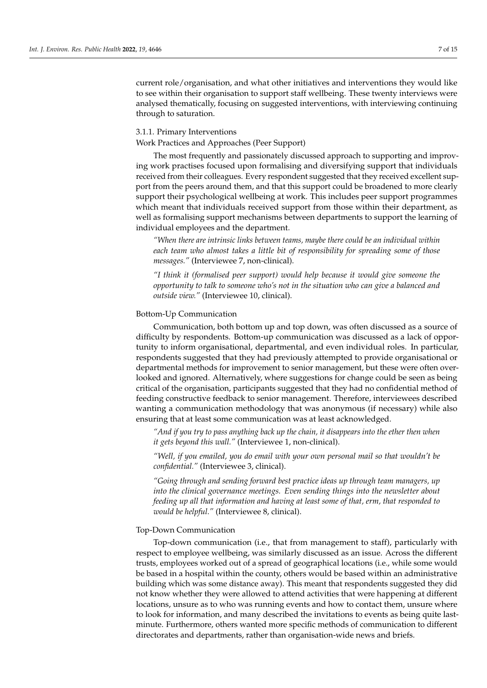current role/organisation, and what other initiatives and interventions they would like to see within their organisation to support staff wellbeing. These twenty interviews were analysed thematically, focusing on suggested interventions, with interviewing continuing through to saturation.

#### 3.1.1. Primary Interventions

Work Practices and Approaches (Peer Support)

The most frequently and passionately discussed approach to supporting and improving work practises focused upon formalising and diversifying support that individuals received from their colleagues. Every respondent suggested that they received excellent support from the peers around them, and that this support could be broadened to more clearly support their psychological wellbeing at work. This includes peer support programmes which meant that individuals received support from those within their department, as well as formalising support mechanisms between departments to support the learning of individual employees and the department.

*"When there are intrinsic links between teams, maybe there could be an individual within each team who almost takes a little bit of responsibility for spreading some of those messages."* (Interviewee 7, non-clinical).

*"I think it (formalised peer support) would help because it would give someone the opportunity to talk to someone who's not in the situation who can give a balanced and outside view."* (Interviewee 10, clinical).

#### Bottom-Up Communication

Communication, both bottom up and top down, was often discussed as a source of difficulty by respondents. Bottom-up communication was discussed as a lack of opportunity to inform organisational, departmental, and even individual roles. In particular, respondents suggested that they had previously attempted to provide organisational or departmental methods for improvement to senior management, but these were often overlooked and ignored. Alternatively, where suggestions for change could be seen as being critical of the organisation, participants suggested that they had no confidential method of feeding constructive feedback to senior management. Therefore, interviewees described wanting a communication methodology that was anonymous (if necessary) while also ensuring that at least some communication was at least acknowledged.

*"And if you try to pass anything back up the chain, it disappears into the ether then when it gets beyond this wall."* (Interviewee 1, non-clinical).

*"Well, if you emailed, you do email with your own personal mail so that wouldn't be confidential."* (Interviewee 3, clinical).

*"Going through and sending forward best practice ideas up through team managers, up into the clinical governance meetings. Even sending things into the newsletter about feeding up all that information and having at least some of that, erm, that responded to would be helpful."* (Interviewee 8, clinical).

#### Top-Down Communication

Top-down communication (i.e., that from management to staff), particularly with respect to employee wellbeing, was similarly discussed as an issue. Across the different trusts, employees worked out of a spread of geographical locations (i.e., while some would be based in a hospital within the county, others would be based within an administrative building which was some distance away). This meant that respondents suggested they did not know whether they were allowed to attend activities that were happening at different locations, unsure as to who was running events and how to contact them, unsure where to look for information, and many described the invitations to events as being quite lastminute. Furthermore, others wanted more specific methods of communication to different directorates and departments, rather than organisation-wide news and briefs.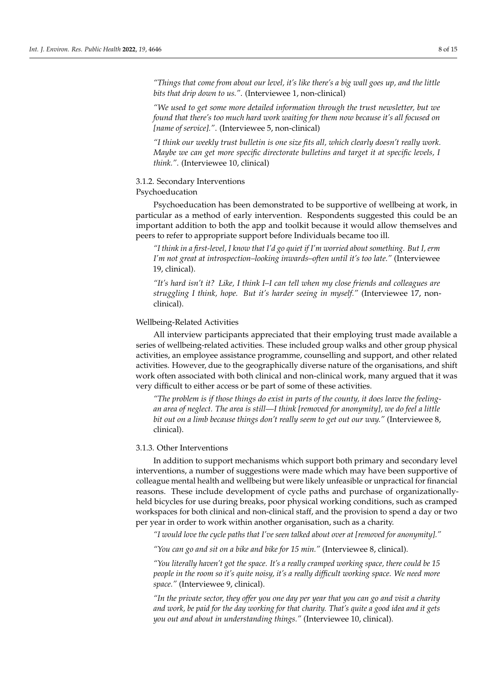*"Things that come from about our level, it's like there's a big wall goes up, and the little bits that drip down to us."*. (Interviewee 1, non-clinical)

*"We used to get some more detailed information through the trust newsletter, but we found that there's too much hard work waiting for them now because it's all focused on [name of service]."*. (Interviewee 5, non-clinical)

*"I think our weekly trust bulletin is one size fits all, which clearly doesn't really work. Maybe we can get more specific directorate bulletins and target it at specific levels, I think."*. (Interviewee 10, clinical)

#### 3.1.2. Secondary Interventions

### Psychoeducation

Psychoeducation has been demonstrated to be supportive of wellbeing at work, in particular as a method of early intervention. Respondents suggested this could be an important addition to both the app and toolkit because it would allow themselves and peers to refer to appropriate support before Individuals became too ill.

*"I think in a first-level, I know that I'd go quiet if I'm worried about something. But I, erm I'm not great at introspection–looking inwards–often until it's too late."* (Interviewee 19, clinical).

*"It's hard isn't it? Like, I think I–I can tell when my close friends and colleagues are struggling I think, hope. But it's harder seeing in myself."* (Interviewee 17, nonclinical).

#### Wellbeing-Related Activities

All interview participants appreciated that their employing trust made available a series of wellbeing-related activities. These included group walks and other group physical activities, an employee assistance programme, counselling and support, and other related activities. However, due to the geographically diverse nature of the organisations, and shift work often associated with both clinical and non-clinical work, many argued that it was very difficult to either access or be part of some of these activities.

*"The problem is if those things do exist in parts of the county, it does leave the feelingan area of neglect. The area is still—I think [removed for anonymity], we do feel a little bit out on a limb because things don't really seem to get out our way."* (Interviewee 8, clinical).

## 3.1.3. Other Interventions

In addition to support mechanisms which support both primary and secondary level interventions, a number of suggestions were made which may have been supportive of colleague mental health and wellbeing but were likely unfeasible or unpractical for financial reasons. These include development of cycle paths and purchase of organizationallyheld bicycles for use during breaks, poor physical working conditions, such as cramped workspaces for both clinical and non-clinical staff, and the provision to spend a day or two per year in order to work within another organisation, such as a charity.

*"I would love the cycle paths that I've seen talked about over at [removed for anonymity]."*

*"You can go and sit on a bike and bike for 15 min."* (Interviewee 8, clinical).

*"You literally haven't got the space. It's a really cramped working space, there could be 15 people in the room so it's quite noisy, it's a really difficult working space. We need more space."* (Interviewee 9, clinical).

*"In the private sector, they offer you one day per year that you can go and visit a charity and work, be paid for the day working for that charity. That's quite a good idea and it gets you out and about in understanding things."* (Interviewee 10, clinical).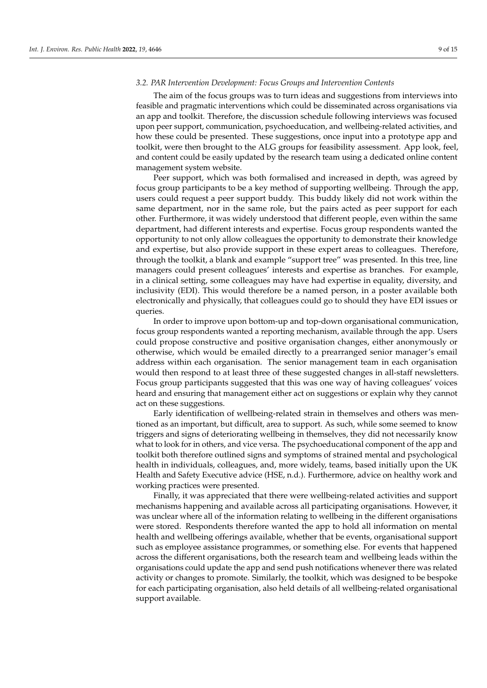#### *3.2. PAR Intervention Development: Focus Groups and Intervention Contents*

The aim of the focus groups was to turn ideas and suggestions from interviews into feasible and pragmatic interventions which could be disseminated across organisations via an app and toolkit. Therefore, the discussion schedule following interviews was focused upon peer support, communication, psychoeducation, and wellbeing-related activities, and how these could be presented. These suggestions, once input into a prototype app and toolkit, were then brought to the ALG groups for feasibility assessment. App look, feel, and content could be easily updated by the research team using a dedicated online content management system website.

Peer support, which was both formalised and increased in depth, was agreed by focus group participants to be a key method of supporting wellbeing. Through the app, users could request a peer support buddy. This buddy likely did not work within the same department, nor in the same role, but the pairs acted as peer support for each other. Furthermore, it was widely understood that different people, even within the same department, had different interests and expertise. Focus group respondents wanted the opportunity to not only allow colleagues the opportunity to demonstrate their knowledge and expertise, but also provide support in these expert areas to colleagues. Therefore, through the toolkit, a blank and example "support tree" was presented. In this tree, line managers could present colleagues' interests and expertise as branches. For example, in a clinical setting, some colleagues may have had expertise in equality, diversity, and inclusivity (EDI). This would therefore be a named person, in a poster available both electronically and physically, that colleagues could go to should they have EDI issues or queries.

In order to improve upon bottom-up and top-down organisational communication, focus group respondents wanted a reporting mechanism, available through the app. Users could propose constructive and positive organisation changes, either anonymously or otherwise, which would be emailed directly to a prearranged senior manager's email address within each organisation. The senior management team in each organisation would then respond to at least three of these suggested changes in all-staff newsletters. Focus group participants suggested that this was one way of having colleagues' voices heard and ensuring that management either act on suggestions or explain why they cannot act on these suggestions.

Early identification of wellbeing-related strain in themselves and others was mentioned as an important, but difficult, area to support. As such, while some seemed to know triggers and signs of deteriorating wellbeing in themselves, they did not necessarily know what to look for in others, and vice versa. The psychoeducational component of the app and toolkit both therefore outlined signs and symptoms of strained mental and psychological health in individuals, colleagues, and, more widely, teams, based initially upon the UK Health and Safety Executive advice (HSE, n.d.). Furthermore, advice on healthy work and working practices were presented.

Finally, it was appreciated that there were wellbeing-related activities and support mechanisms happening and available across all participating organisations. However, it was unclear where all of the information relating to wellbeing in the different organisations were stored. Respondents therefore wanted the app to hold all information on mental health and wellbeing offerings available, whether that be events, organisational support such as employee assistance programmes, or something else. For events that happened across the different organisations, both the research team and wellbeing leads within the organisations could update the app and send push notifications whenever there was related activity or changes to promote. Similarly, the toolkit, which was designed to be bespoke for each participating organisation, also held details of all wellbeing-related organisational support available.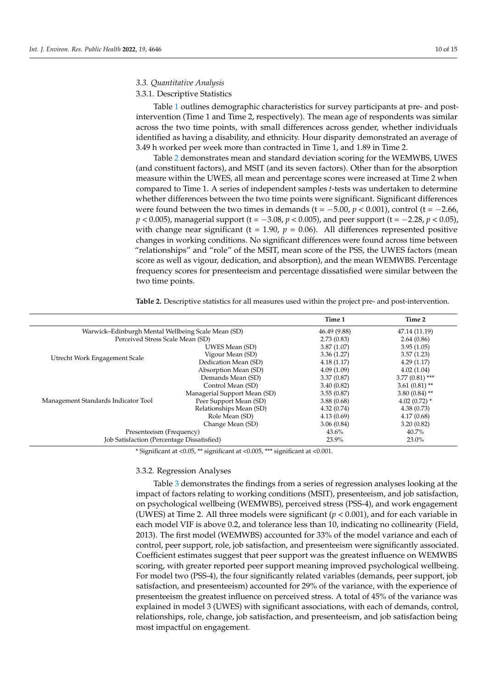#### *3.3. Quantitative Analysis*

## 3.3.1. Descriptive Statistics

Table [1](#page-5-0) outlines demographic characteristics for survey participants at pre- and postintervention (Time 1 and Time 2, respectively). The mean age of respondents was similar across the two time points, with small differences across gender, whether individuals identified as having a disability, and ethnicity. Hour disparity demonstrated an average of 3.49 h worked per week more than contracted in Time 1, and 1.89 in Time 2.

Table [2](#page-9-0) demonstrates mean and standard deviation scoring for the WEMWBS, UWES (and constituent factors), and MSIT (and its seven factors). Other than for the absorption measure within the UWES, all mean and percentage scores were increased at Time 2 when compared to Time 1. A series of independent samples *t*-tests was undertaken to determine whether differences between the two time points were significant. Significant differences were found between the two times in demands ( $t = -5.00$ ,  $p < 0.001$ ), control ( $t = -2.66$ , *p* < 0.005), managerial support (t = −3.08, *p* < 0.005), and peer support (t = −2.28, *p* < 0.05), with change near significant ( $t = 1.90$ ,  $p = 0.06$ ). All differences represented positive changes in working conditions. No significant differences were found across time between "relationships" and "role" of the MSIT, mean score of the PSS, the UWES factors (mean score as well as vigour, dedication, and absorption), and the mean WEMWBS. Percentage frequency scores for presenteeism and percentage dissatisfied were similar between the two time points.

|                                                    |                                                     | Time 1       | Time 2           |  |
|----------------------------------------------------|-----------------------------------------------------|--------------|------------------|--|
| Warwick-Edinburgh Mental Wellbeing Scale Mean (SD) |                                                     | 46.49 (9.88) | 47.14 (11.19)    |  |
| Perceived Stress Scale Mean (SD)                   |                                                     | 2.73(0.83)   | 2.64(0.86)       |  |
|                                                    | UWES Mean (SD)                                      | 3.87(1.07)   | 3.95(1.05)       |  |
| Utrecht Work Engagement Scale                      | Vigour Mean (SD)                                    | 3.36(1.27)   | 3.57(1.23)       |  |
|                                                    | Dedication Mean (SD)                                | 4.18(1.17)   | 4.29(1.17)       |  |
|                                                    | Absorption Mean (SD)                                | 4.09(1.09)   | 4.02(1.04)       |  |
|                                                    | Demands Mean (SD)                                   | 3.37(0.87)   | $3.77(0.81)$ *** |  |
|                                                    | Control Mean (SD)                                   | 3.40(0.82)   | $3.61(0.81)$ **  |  |
|                                                    | Managerial Support Mean (SD)                        | 3.55(0.87)   | $3.80(0.84)$ **  |  |
| Management Standards Indicator Tool                | Peer Support Mean (SD)                              | 3.88(0.68)   | $4.02(0.72)$ *   |  |
|                                                    | Relationships Mean (SD)                             | 4.32(0.74)   | 4.38(0.73)       |  |
|                                                    | Role Mean (SD)                                      | 4.13(0.69)   | 4.17(0.68)       |  |
|                                                    | Change Mean (SD)                                    | 3.06(0.84)   | 3.20(0.82)       |  |
|                                                    | Presenteeism (Frequency)                            |              | 40.7%            |  |
|                                                    | Job Satisfaction (Percentage Dissatisfied)<br>23.9% |              | 23.0%            |  |

<span id="page-9-0"></span>**Table 2.** Descriptive statistics for all measures used within the project pre- and post-intervention.

\* Significant at <0.05, \*\* significant at <0.005, \*\*\* significant at <0.001.

#### 3.3.2. Regression Analyses

Table [3](#page-10-0) demonstrates the findings from a series of regression analyses looking at the impact of factors relating to working conditions (MSIT), presenteeism, and job satisfaction, on psychological wellbeing (WEMWBS), perceived stress (PSS-4), and work engagement (UWES) at Time 2. All three models were significant (*p* < 0.001), and for each variable in each model VIF is above 0.2, and tolerance less than 10, indicating no collinearity (Field, 2013). The first model (WEMWBS) accounted for 33% of the model variance and each of control, peer support, role, job satisfaction, and presenteeism were significantly associated. Coefficient estimates suggest that peer support was the greatest influence on WEMWBS scoring, with greater reported peer support meaning improved psychological wellbeing. For model two (PSS-4), the four significantly related variables (demands, peer support, job satisfaction, and presenteeism) accounted for 29% of the variance, with the experience of presenteeism the greatest influence on perceived stress. A total of 45% of the variance was explained in model 3 (UWES) with significant associations, with each of demands, control, relationships, role, change, job satisfaction, and presenteeism, and job satisfaction being most impactful on engagement.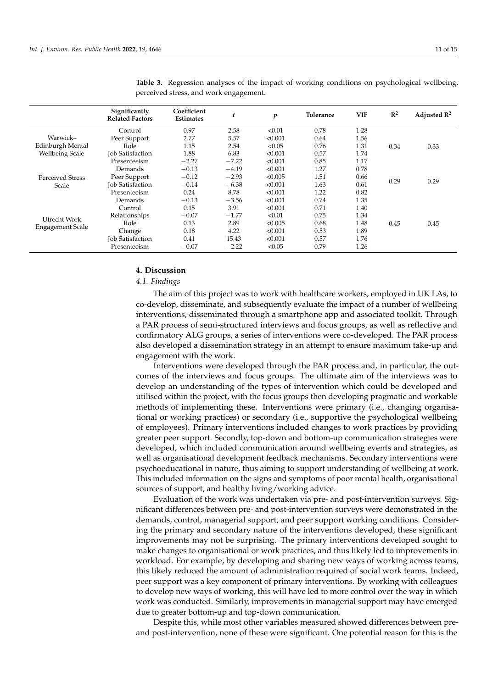|                                                        | Significantly<br><b>Related Factors</b> | Coefficient<br><b>Estimates</b> | t       | p       | Tolerance | <b>VIF</b> | $\mathbb{R}^2$ | Adjusted $\mathbb{R}^2$ |
|--------------------------------------------------------|-----------------------------------------|---------------------------------|---------|---------|-----------|------------|----------------|-------------------------|
| Warwick–<br>Edinburgh Mental<br><b>Wellbeing Scale</b> | Control                                 | 0.97                            | 2.58    | < 0.01  | 0.78      | 1.28       |                |                         |
|                                                        | Peer Support                            | 2.77                            | 5.57    | < 0.001 | 0.64      | 1.56       | 0.34           | 0.33                    |
|                                                        | Role                                    | 1.15                            | 2.54    | < 0.05  | 0.76      | 1.31       |                |                         |
|                                                        | <b>Job Satisfaction</b>                 | 1.88                            | 6.83    | < 0.001 | 0.57      | 1.74       |                |                         |
|                                                        | Presenteeism                            | $-2.27$                         | $-7.22$ | < 0.001 | 0.85      | 1.17       |                |                         |
| <b>Perceived Stress</b><br>Scale                       | Demands                                 | $-0.13$                         | $-4.19$ | < 0.001 | 1.27      | 0.78       | 0.29           | 0.29                    |
|                                                        | Peer Support                            | $-0.12$                         | $-2.93$ | < 0.005 | 1.51      | 0.66       |                |                         |
|                                                        | <b>Job Satisfaction</b>                 | $-0.14$                         | $-6.38$ | < 0.001 | 1.63      | 0.61       |                |                         |
|                                                        | Presenteeism                            | 0.24                            | 8.78    | < 0.001 | 1.22      | 0.82       |                |                         |
| Utrecht Work<br><b>Engagement Scale</b>                | Demands                                 | $-0.13$                         | $-3.56$ | < 0.001 | 0.74      | 1.35       |                |                         |
|                                                        | Control                                 | 0.15                            | 3.91    | < 0.001 | 0.71      | 1.40       | 0.45           | 0.45                    |
|                                                        | Relationships                           | $-0.07$                         | $-1.77$ | < 0.01  | 0.75      | 1.34       |                |                         |
|                                                        | Role                                    | 0.13                            | 2.89    | < 0.005 | 0.68      | 1.48       |                |                         |
|                                                        | Change                                  | 0.18                            | 4.22    | < 0.001 | 0.53      | 1.89       |                |                         |
|                                                        | <b>Job Satisfaction</b>                 | 0.41                            | 15.43   | < 0.001 | 0.57      | 1.76       |                |                         |
|                                                        | Presenteeism                            | $-0.07$                         | $-2.22$ | < 0.05  | 0.79      | 1.26       |                |                         |

<span id="page-10-0"></span>**Table 3.** Regression analyses of the impact of working conditions on psychological wellbeing, perceived stress, and work engagement.

#### **4. Discussion**

#### *4.1. Findings*

The aim of this project was to work with healthcare workers, employed in UK LAs, to co-develop, disseminate, and subsequently evaluate the impact of a number of wellbeing interventions, disseminated through a smartphone app and associated toolkit. Through a PAR process of semi-structured interviews and focus groups, as well as reflective and confirmatory ALG groups, a series of interventions were co-developed. The PAR process also developed a dissemination strategy in an attempt to ensure maximum take-up and engagement with the work.

Interventions were developed through the PAR process and, in particular, the outcomes of the interviews and focus groups. The ultimate aim of the interviews was to develop an understanding of the types of intervention which could be developed and utilised within the project, with the focus groups then developing pragmatic and workable methods of implementing these. Interventions were primary (i.e., changing organisational or working practices) or secondary (i.e., supportive the psychological wellbeing of employees). Primary interventions included changes to work practices by providing greater peer support. Secondly, top-down and bottom-up communication strategies were developed, which included communication around wellbeing events and strategies, as well as organisational development feedback mechanisms. Secondary interventions were psychoeducational in nature, thus aiming to support understanding of wellbeing at work. This included information on the signs and symptoms of poor mental health, organisational sources of support, and healthy living/working advice.

Evaluation of the work was undertaken via pre- and post-intervention surveys. Significant differences between pre- and post-intervention surveys were demonstrated in the demands, control, managerial support, and peer support working conditions. Considering the primary and secondary nature of the interventions developed, these significant improvements may not be surprising. The primary interventions developed sought to make changes to organisational or work practices, and thus likely led to improvements in workload. For example, by developing and sharing new ways of working across teams, this likely reduced the amount of administration required of social work teams. Indeed, peer support was a key component of primary interventions. By working with colleagues to develop new ways of working, this will have led to more control over the way in which work was conducted. Similarly, improvements in managerial support may have emerged due to greater bottom-up and top-down communication.

Despite this, while most other variables measured showed differences between preand post-intervention, none of these were significant. One potential reason for this is the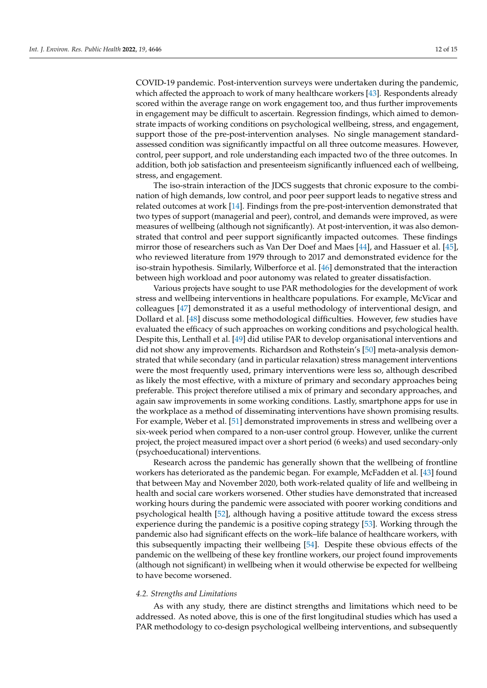COVID-19 pandemic. Post-intervention surveys were undertaken during the pandemic, which affected the approach to work of many healthcare workers [\[43\]](#page-14-12). Respondents already scored within the average range on work engagement too, and thus further improvements in engagement may be difficult to ascertain. Regression findings, which aimed to demonstrate impacts of working conditions on psychological wellbeing, stress, and engagement, support those of the pre-post-intervention analyses. No single management standardassessed condition was significantly impactful on all three outcome measures. However, control, peer support, and role understanding each impacted two of the three outcomes. In addition, both job satisfaction and presenteeism significantly influenced each of wellbeing, stress, and engagement.

The iso-strain interaction of the JDCS suggests that chronic exposure to the combination of high demands, low control, and poor peer support leads to negative stress and related outcomes at work [\[14\]](#page-13-11). Findings from the pre-post-intervention demonstrated that two types of support (managerial and peer), control, and demands were improved, as were measures of wellbeing (although not significantly). At post-intervention, it was also demonstrated that control and peer support significantly impacted outcomes. These findings mirror those of researchers such as Van Der Doef and Maes [\[44\]](#page-14-13), and Hassuer et al. [\[45\]](#page-14-14), who reviewed literature from 1979 through to 2017 and demonstrated evidence for the iso-strain hypothesis. Similarly, Wilberforce et al. [\[46\]](#page-14-15) demonstrated that the interaction between high workload and poor autonomy was related to greater dissatisfaction.

Various projects have sought to use PAR methodologies for the development of work stress and wellbeing interventions in healthcare populations. For example, McVicar and colleagues [\[47\]](#page-14-16) demonstrated it as a useful methodology of interventional design, and Dollard et al. [\[48\]](#page-14-17) discuss some methodological difficulties. However, few studies have evaluated the efficacy of such approaches on working conditions and psychological health. Despite this, Lenthall et al. [\[49\]](#page-14-18) did utilise PAR to develop organisational interventions and did not show any improvements. Richardson and Rothstein's [\[50\]](#page-14-19) meta-analysis demonstrated that while secondary (and in particular relaxation) stress management interventions were the most frequently used, primary interventions were less so, although described as likely the most effective, with a mixture of primary and secondary approaches being preferable. This project therefore utilised a mix of primary and secondary approaches, and again saw improvements in some working conditions. Lastly, smartphone apps for use in the workplace as a method of disseminating interventions have shown promising results. For example, Weber et al. [\[51\]](#page-14-20) demonstrated improvements in stress and wellbeing over a six-week period when compared to a non-user control group. However, unlike the current project, the project measured impact over a short period (6 weeks) and used secondary-only (psychoeducational) interventions.

Research across the pandemic has generally shown that the wellbeing of frontline workers has deteriorated as the pandemic began. For example, McFadden et al. [\[43\]](#page-14-12) found that between May and November 2020, both work-related quality of life and wellbeing in health and social care workers worsened. Other studies have demonstrated that increased working hours during the pandemic were associated with poorer working conditions and psychological health [\[52\]](#page-14-21), although having a positive attitude toward the excess stress experience during the pandemic is a positive coping strategy [\[53\]](#page-14-22). Working through the pandemic also had significant effects on the work–life balance of healthcare workers, with this subsequently impacting their wellbeing [\[54\]](#page-14-23). Despite these obvious effects of the pandemic on the wellbeing of these key frontline workers, our project found improvements (although not significant) in wellbeing when it would otherwise be expected for wellbeing to have become worsened.

## *4.2. Strengths and Limitations*

As with any study, there are distinct strengths and limitations which need to be addressed. As noted above, this is one of the first longitudinal studies which has used a PAR methodology to co-design psychological wellbeing interventions, and subsequently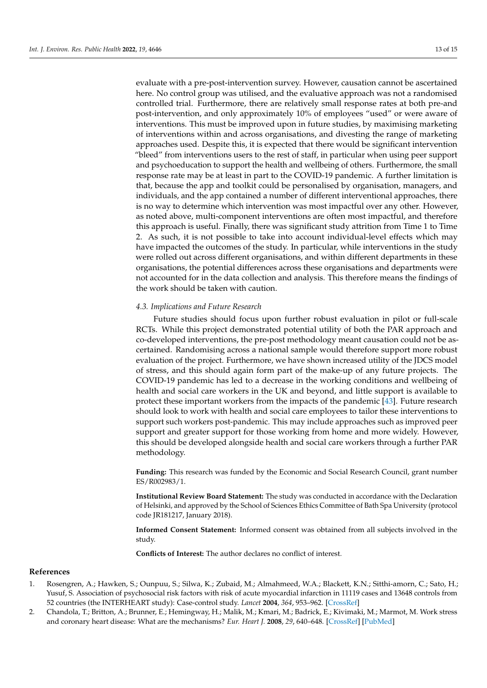evaluate with a pre-post-intervention survey. However, causation cannot be ascertained here. No control group was utilised, and the evaluative approach was not a randomised controlled trial. Furthermore, there are relatively small response rates at both pre-and post-intervention, and only approximately 10% of employees "used" or were aware of interventions. This must be improved upon in future studies, by maximising marketing of interventions within and across organisations, and divesting the range of marketing approaches used. Despite this, it is expected that there would be significant intervention "bleed" from interventions users to the rest of staff, in particular when using peer support and psychoeducation to support the health and wellbeing of others. Furthermore, the small response rate may be at least in part to the COVID-19 pandemic. A further limitation is that, because the app and toolkit could be personalised by organisation, managers, and individuals, and the app contained a number of different interventional approaches, there is no way to determine which intervention was most impactful over any other. However, as noted above, multi-component interventions are often most impactful, and therefore this approach is useful. Finally, there was significant study attrition from Time 1 to Time 2. As such, it is not possible to take into account individual-level effects which may have impacted the outcomes of the study. In particular, while interventions in the study were rolled out across different organisations, and within different departments in these organisations, the potential differences across these organisations and departments were not accounted for in the data collection and analysis. This therefore means the findings of the work should be taken with caution.

#### *4.3. Implications and Future Research*

Future studies should focus upon further robust evaluation in pilot or full-scale RCTs. While this project demonstrated potential utility of both the PAR approach and co-developed interventions, the pre-post methodology meant causation could not be ascertained. Randomising across a national sample would therefore support more robust evaluation of the project. Furthermore, we have shown increased utility of the JDCS model of stress, and this should again form part of the make-up of any future projects. The COVID-19 pandemic has led to a decrease in the working conditions and wellbeing of health and social care workers in the UK and beyond, and little support is available to protect these important workers from the impacts of the pandemic [\[43\]](#page-14-12). Future research should look to work with health and social care employees to tailor these interventions to support such workers post-pandemic. This may include approaches such as improved peer support and greater support for those working from home and more widely. However, this should be developed alongside health and social care workers through a further PAR methodology.

**Funding:** This research was funded by the Economic and Social Research Council, grant number ES/R002983/1.

**Institutional Review Board Statement:** The study was conducted in accordance with the Declaration of Helsinki, and approved by the School of Sciences Ethics Committee of Bath Spa University (protocol code JR181217, January 2018).

**Informed Consent Statement:** Informed consent was obtained from all subjects involved in the study.

**Conflicts of Interest:** The author declares no conflict of interest.

#### **References**

- <span id="page-12-0"></span>1. Rosengren, A.; Hawken, S.; Ounpuu, S.; Silwa, K.; Zubaid, M.; Almahmeed, W.A.; Blackett, K.N.; Sitthi-amorn, C.; Sato, H.; Yusuf, S. Association of psychosocial risk factors with risk of acute myocardial infarction in 11119 cases and 13648 controls from 52 countries (the INTERHEART study): Case-control study. *Lancet* **2004**, *364*, 953–962. [\[CrossRef\]](http://doi.org/10.1016/S0140-6736(04)17019-0)
- <span id="page-12-1"></span>2. Chandola, T.; Britton, A.; Brunner, E.; Hemingway, H.; Malik, M.; Kmari, M.; Badrick, E.; Kivimaki, M.; Marmot, M. Work stress and coronary heart disease: What are the mechanisms? *Eur. Heart J.* **2008**, *29*, 640–648. [\[CrossRef\]](http://doi.org/10.1093/eurheartj/ehm584) [\[PubMed\]](http://www.ncbi.nlm.nih.gov/pubmed/18216031)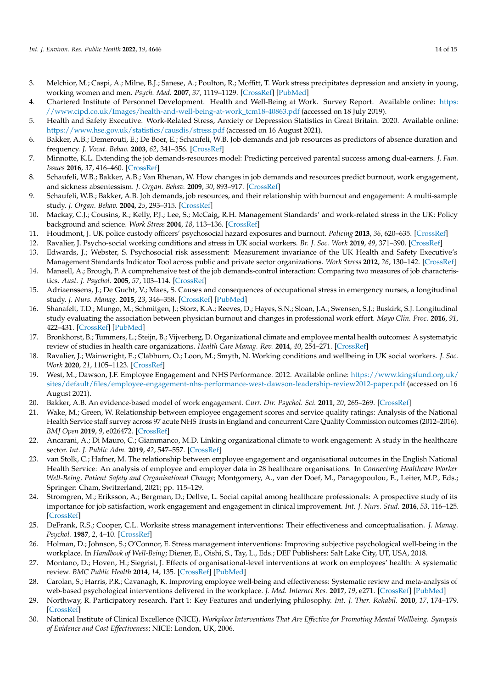- <span id="page-13-0"></span>3. Melchior, M.; Caspi, A.; Milne, B.J.; Sanese, A.; Poulton, R.; Moffitt, T. Work stress precipitates depression and anxiety in young, working women and men. *Psych. Med.* **2007**, *37*, 1119–1129. [\[CrossRef\]](http://doi.org/10.1017/S0033291707000414) [\[PubMed\]](http://www.ncbi.nlm.nih.gov/pubmed/17407618)
- <span id="page-13-1"></span>4. Chartered Institute of Personnel Development. Health and Well-Being at Work. Survey Report. Available online: [https:](https://www.cipd.co.uk/Images/health-and-well-being-at-work_tcm18-40863.pdf) [//www.cipd.co.uk/Images/health-and-well-being-at-work\\_tcm18-40863.pdf](https://www.cipd.co.uk/Images/health-and-well-being-at-work_tcm18-40863.pdf) (accessed on 18 July 2019).
- <span id="page-13-2"></span>5. Health and Safety Executive. Work-Related Stress, Anxiety or Depression Statistics in Great Britain. 2020. Available online: <https://www.hse.gov.uk/statistics/causdis/stress.pdf> (accessed on 16 August 2021).
- <span id="page-13-3"></span>6. Bakker, A.B.; Demerouti, E.; De Boer, E.; Schaufeli, W.B. Job demands and job resources as predictors of absence duration and frequency. *J. Vocat. Behav.* **2003**, *62*, 341–356. [\[CrossRef\]](http://doi.org/10.1016/S0001-8791(02)00030-1)
- <span id="page-13-4"></span>7. Minnotte, K.L. Extending the job demands-resources model: Predicting perceived parental success among dual-earners. *J. Fam. Issues* **2016**, *37*, 416–460. [\[CrossRef\]](http://doi.org/10.1177/0192513X13518777)
- <span id="page-13-5"></span>8. Schaufeli, W.B.; Bakker, A.B.; Van Rhenan, W. How changes in job demands and resources predict burnout, work engagement, and sickness absentessism. *J. Organ. Behav.* **2009**, *30*, 893–917. [\[CrossRef\]](http://doi.org/10.1002/job.595)
- <span id="page-13-6"></span>9. Schaufeli, W.B.; Bakker, A.B. Job demands, job resources, and their relationship with burnout and engagement: A multi-sample study. *J. Organ. Behav.* **2004**, *25*, 293–315. [\[CrossRef\]](http://doi.org/10.1002/job.248)
- <span id="page-13-7"></span>10. Mackay, C.J.; Cousins, R.; Kelly, P.J.; Lee, S.; McCaig, R.H. Management Standards' and work-related stress in the UK: Policy background and science. *Work Stress* **2004**, *18*, 113–136. [\[CrossRef\]](http://doi.org/10.1080/02678370410001727474)
- <span id="page-13-8"></span>11. Houdmont, J. UK police custody officers' psychosocial hazard exposures and burnout. *Policing* **2013**, *36*, 620–635. [\[CrossRef\]](http://doi.org/10.1108/PIJPSM-11-2012-0109)
- <span id="page-13-9"></span>12. Ravalier, J. Psycho-social working conditions and stress in UK social workers. *Br. J. Soc. Work* **2019**, *49*, 371–390. [\[CrossRef\]](http://doi.org/10.1093/bjsw/bcy023)
- <span id="page-13-10"></span>13. Edwards, J.; Webster, S. Psychosocial risk assessment: Measurement invariance of the UK Health and Safety Executive's Management Standards Indicator Tool across public and private sector organizations. *Work Stress* **2012**, *26*, 130–142. [\[CrossRef\]](http://doi.org/10.1080/02678373.2012.688554)
- <span id="page-13-11"></span>14. Mansell, A.; Brough, P. A comprehensive test of the job demands-control interaction: Comparing two measures of job characteristics. *Aust. J. Psychol.* **2005**, *57*, 103–114. [\[CrossRef\]](http://doi.org/10.1080/10519990500048579)
- <span id="page-13-12"></span>15. Adriaenssens, J.; De Gucht, V.; Maes, S. Causes and consequences of occupational stress in emergency nurses, a longitudinal study. *J. Nurs. Manag.* **2015**, *23*, 346–358. [\[CrossRef\]](http://doi.org/10.1111/jonm.12138) [\[PubMed\]](http://www.ncbi.nlm.nih.gov/pubmed/24330154)
- <span id="page-13-13"></span>16. Shanafelt, T.D.; Mungo, M.; Schmitgen, J.; Storz, K.A.; Reeves, D.; Hayes, S.N.; Sloan, J.A.; Swensen, S.J.; Buskirk, S.J. Longitudinal study evaluating the association between physician burnout and changes in professional work effort. *Mayo Clin. Proc.* **2016**, *91*, 422–431. [\[CrossRef\]](http://doi.org/10.1016/j.mayocp.2016.02.001) [\[PubMed\]](http://www.ncbi.nlm.nih.gov/pubmed/27046522)
- <span id="page-13-14"></span>17. Bronkhorst, B.; Tummers, L.; Steijn, B.; Vijverberg, D. Organizational climate and employee mental health outcomes: A systematyic review of studies in health care organizations. *Health Care Manag. Rev.* **2014**, *40*, 254–271. [\[CrossRef\]](http://doi.org/10.1097/HMR.0000000000000026)
- <span id="page-13-15"></span>18. Ravalier, J.; Wainwright, E.; Clabburn, O.; Loon, M.; Smyth, N. Working conditions and wellbeing in UK social workers. *J. Soc. Work* **2020**, *21*, 1105–1123. [\[CrossRef\]](http://doi.org/10.1177/1468017320949361)
- <span id="page-13-16"></span>19. West, M.; Dawson, J.F. Employee Engagement and NHS Performance. 2012. Available online: [https://www.kingsfund.org.uk/](https://www.kingsfund.org.uk/sites/default/files/employee-engagement-nhs-performance-west-dawson-leadership-review2012-paper.pdf) [sites/default/files/employee-engagement-nhs-performance-west-dawson-leadership-review2012-paper.pdf](https://www.kingsfund.org.uk/sites/default/files/employee-engagement-nhs-performance-west-dawson-leadership-review2012-paper.pdf) (accessed on 16 August 2021).
- <span id="page-13-17"></span>20. Bakker, A.B. An evidence-based model of work engagement. *Curr. Dir. Psychol. Sci.* **2011**, *20*, 265–269. [\[CrossRef\]](http://doi.org/10.1177/0963721411414534)
- <span id="page-13-18"></span>21. Wake, M.; Green, W. Relationship between employee engagement scores and service quality ratings: Analysis of the National Health Service staff survey across 97 acute NHS Trusts in England and concurrent Care Quality Commission outcomes (2012–2016). *BMJ Open* **2019**, *9*, e026472. [\[CrossRef\]](http://doi.org/10.1136/bmjopen-2018-026472)
- <span id="page-13-19"></span>22. Ancarani, A.; Di Mauro, C.; Giammanco, M.D. Linking organizational climate to work engagement: A study in the healthcare sector. *Int. J. Public Adm.* **2019**, *42*, 547–557. [\[CrossRef\]](http://doi.org/10.1080/01900692.2018.1491595)
- <span id="page-13-20"></span>23. van Stolk, C.; Hafner, M. The relationship between employee engagement and organisational outcomes in the English National Health Service: An analysis of employee and employer data in 28 healthcare organisations. In *Connecting Healthcare Worker Well-Being, Patient Safety and Organisational Change*; Montgomery, A., van der Doef, M., Panagopoulou, E., Leiter, M.P., Eds.; Springer: Cham, Switzerland, 2021; pp. 115–129.
- <span id="page-13-21"></span>24. Stromgren, M.; Eriksson, A.; Bergman, D.; Dellve, L. Social capital among healthcare professionals: A prospective study of its importance for job satisfaction, work engagement and engagement in clinical improvement. *Int. J. Nurs. Stud.* **2016**, *53*, 116–125. [\[CrossRef\]](http://doi.org/10.1016/j.ijnurstu.2015.07.012)
- <span id="page-13-22"></span>25. DeFrank, R.S.; Cooper, C.L. Worksite stress management interventions: Their effectiveness and conceptualisation. *J. Manag. Psychol.* **1987**, *2*, 4–10. [\[CrossRef\]](http://doi.org/10.1108/eb043385)
- <span id="page-13-23"></span>26. Holman, D.; Johnson, S.; O'Connor, E. Stress management interventions: Improving subjective psychological well-being in the workplace. In *Handbook of Well-Being*; Diener, E., Oishi, S., Tay, L., Eds.; DEF Publishers: Salt Lake City, UT, USA, 2018.
- <span id="page-13-24"></span>27. Montano, D.; Hoven, H.; Siegrist, J. Effects of organisational-level interventions at work on employees' health: A systematic review. *BMC Public Health* **2014**, *14*, 135. [\[CrossRef\]](http://doi.org/10.1186/1471-2458-14-135) [\[PubMed\]](http://www.ncbi.nlm.nih.gov/pubmed/24507447)
- <span id="page-13-25"></span>28. Carolan, S.; Harris, P.R.; Cavanagh, K. Improving employee well-being and effectiveness: Systematic review and meta-analysis of web-based psychological interventions delivered in the workplace. *J. Med. Internet Res.* **2017**, *19*, e271. [\[CrossRef\]](http://doi.org/10.2196/jmir.7583) [\[PubMed\]](http://www.ncbi.nlm.nih.gov/pubmed/28747293)
- <span id="page-13-26"></span>29. Northway, R. Participatory research. Part 1: Key Features and underlying philosophy. *Int. J. Ther. Rehabil.* **2010**, *17*, 174–179. [\[CrossRef\]](http://doi.org/10.12968/ijtr.2010.17.4.47300)
- <span id="page-13-27"></span>30. National Institute of Clinical Excellence (NICE). *Workplace Interventions That Are Effective for Promoting Mental Wellbeing. Synopsis of Evidence and Cost Effectiveness*; NICE: London, UK, 2006.